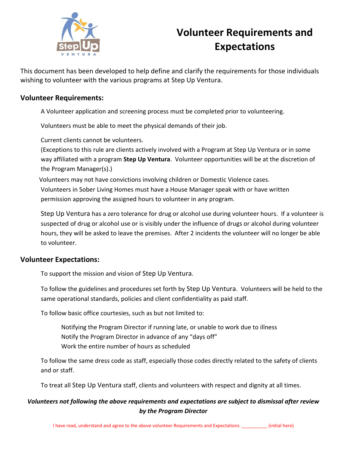

# **Volunteer Requirements and Expectations**

This document has been developed to help define and clarify the requirements for those individuals wishing to volunteer with the various programs at Step Up Ventura.

## **Volunteer Requirements:**

A Volunteer application and screening process must be completed prior to volunteering.

Volunteers must be able to meet the physical demands of their job.

Current clients cannot be volunteers.

(Exceptions to this rule are clients actively involved with a Program at Step Up Ventura or in some way affiliated with a program **Step Up Ventura**. Volunteer opportunities will be at the discretion of the Program Manager(s).)

Volunteers may not have convictions involving children or Domestic Violence cases. Volunteers in Sober Living Homes must have a House Manager speak with or have written permission approving the assigned hours to volunteer in any program.

Step Up Ventura has a zero tolerance for drug or alcohol use during volunteer hours. If a volunteer is suspected of drug or alcohol use or is visibly under the influence of drugs or alcohol during volunteer hours, they will be asked to leave the premises. After 2 incidents the volunteer will no longer be able to volunteer.

## **Volunteer Expectations:**

To support the mission and vision of Step Up Ventura.

To follow the guidelines and procedures set forth by Step Up Ventura. Volunteers will be held to the same operational standards, policies and client confidentiality as paid staff.

To follow basic office courtesies, such as but not limited to:

Notifying the Program Director if running late, or unable to work due to illness Notify the Program Director in advance of any "days off" Work the entire number of hours as scheduled

To follow the same dress code as staff, especially those codes directly related to the safety of clients and or staff.

To treat all Step Up Ventura staff, clients and volunteers with respect and dignity at all times.

# *Volunteers not following the above requirements and expectations are subject to dismissal after review by the Program Director*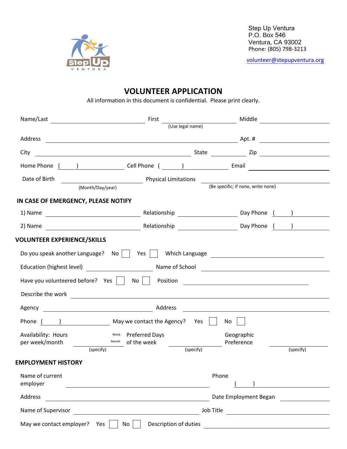

Step Up Ventura P.O. Box 546 Ventura, CA 93002 Phone: (805) 798-3213

[volunteer@stepupventura.org](mailto:volunteer@stepupventura.org)

# **VOLUNTEER APPLICATION**

All information in this document is confidential. Please print clearly.

| Name/Last                                                                   | First                                                                                                                                                                                                                          | Middle                               | <u> 1980 - Jan Barbarat, prima politik (</u>                  |  |
|-----------------------------------------------------------------------------|--------------------------------------------------------------------------------------------------------------------------------------------------------------------------------------------------------------------------------|--------------------------------------|---------------------------------------------------------------|--|
|                                                                             |                                                                                                                                                                                                                                | (Use legal name)                     |                                                               |  |
| Address                                                                     |                                                                                                                                                                                                                                |                                      |                                                               |  |
| City                                                                        | <u> 2008 - Andrea Andrew Maria (h. 18</u>                                                                                                                                                                                      |                                      | State Zip                                                     |  |
|                                                                             | Home Phone ( and ) and Cell Phone ( contains a set of the set of the set of the set of the set of the set of the set of the set of the set of the set of the set of the set of the set of the set of the set of the set of the |                                      |                                                               |  |
| Date of Birth                                                               | Physical Limitations                                                                                                                                                                                                           |                                      |                                                               |  |
| (Month/Day/year)                                                            |                                                                                                                                                                                                                                | (Be specific; if none, write none)   |                                                               |  |
| IN CASE OF EMERGENCY, PLEASE NOTIFY                                         |                                                                                                                                                                                                                                |                                      |                                                               |  |
| 1) Name                                                                     | <b>Example 20</b> Relationship <b>COVID-100</b> Day Phone ( and )                                                                                                                                                              |                                      |                                                               |  |
|                                                                             |                                                                                                                                                                                                                                |                                      |                                                               |  |
| <b>VOLUNTEER EXPERIENCE/SKILLS</b>                                          |                                                                                                                                                                                                                                |                                      |                                                               |  |
| Do you speak another Language? $\overrightarrow{N}$ No $\overrightarrow{S}$ | Yes                                                                                                                                                                                                                            |                                      |                                                               |  |
| Education (highest level) [2001]                                            |                                                                                                                                                                                                                                | Name of School <b>Name of School</b> |                                                               |  |
|                                                                             | Have you volunteered before? Yes     No     Position ___________________________                                                                                                                                               |                                      |                                                               |  |
|                                                                             |                                                                                                                                                                                                                                |                                      |                                                               |  |
| Describe the work                                                           | <u> 1980 - John Stein, Amerikaansk politiker (</u> † 1920)                                                                                                                                                                     |                                      |                                                               |  |
|                                                                             |                                                                                                                                                                                                                                |                                      |                                                               |  |
|                                                                             | Phone () May we contact the Agency? Yes                                                                                                                                                                                        | No                                   |                                                               |  |
| Availability: Hours                                                         | Week Preferred Days                                                                                                                                                                                                            | Geographic                           |                                                               |  |
| per week/month<br>(specify)                                                 | Month<br>of the week                                                                                                                                                                                                           | Preference<br>(specify)              | (specify)                                                     |  |
|                                                                             |                                                                                                                                                                                                                                |                                      |                                                               |  |
| <b>EMPLOYMENT HISTORY</b>                                                   |                                                                                                                                                                                                                                |                                      |                                                               |  |
| Name of current<br>employer                                                 |                                                                                                                                                                                                                                | Phone                                |                                                               |  |
|                                                                             |                                                                                                                                                                                                                                |                                      |                                                               |  |
| Address                                                                     |                                                                                                                                                                                                                                | Date Employment Began                |                                                               |  |
| Name of Supervisor                                                          |                                                                                                                                                                                                                                |                                      | Job Title                                                     |  |
| May we contact employer? Yes $\vert \vert$                                  | Description of duties<br>No                                                                                                                                                                                                    |                                      | <u> 1989 - Johann Barn, fransk politik fotograf (d. 1982)</u> |  |
|                                                                             |                                                                                                                                                                                                                                |                                      |                                                               |  |